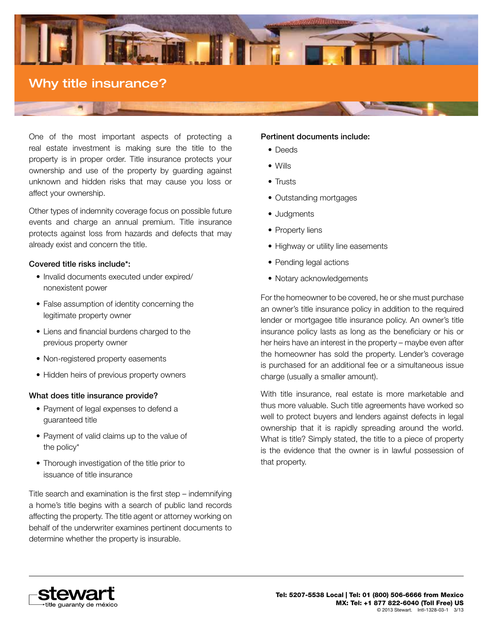

One of the most important aspects of protecting a real estate investment is making sure the title to the property is in proper order. Title insurance protects your ownership and use of the property by guarding against unknown and hidden risks that may cause you loss or affect your ownership.

Other types of indemnity coverage focus on possible future events and charge an annual premium. Title insurance protects against loss from hazards and defects that may already exist and concern the title.

## Covered title risks include\*:

- Invalid documents executed under expired/ nonexistent power
- False assumption of identity concerning the legitimate property owner
- • Liens and financial burdens charged to the previous property owner
- Non-registered property easements
- Hidden heirs of previous property owners

## What does title insurance provide?

- Payment of legal expenses to defend a guaranteed title
- Payment of valid claims up to the value of the policy\*
- Thorough investigation of the title prior to issuance of title insurance

Title search and examination is the first step – indemnifying a home's title begins with a search of public land records affecting the property. The title agent or attorney working on behalf of the underwriter examines pertinent documents to determine whether the property is insurable.

# Pertinent documents include:

- Deeds
- • Wills
- Trusts
- Outstanding mortgages
- Judgments
- Property liens
- Highway or utility line easements
- Pending legal actions
- Notary acknowledgements

For the homeowner to be covered, he or she must purchase an owner's title insurance policy in addition to the required lender or mortgagee title insurance policy. An owner's title insurance policy lasts as long as the beneficiary or his or her heirs have an interest in the property – maybe even after the homeowner has sold the property. Lender's coverage is purchased for an additional fee or a simultaneous issue charge (usually a smaller amount).

With title insurance, real estate is more marketable and thus more valuable. Such title agreements have worked so well to protect buyers and lenders against defects in legal ownership that it is rapidly spreading around the world. What is title? Simply stated, the title to a piece of property is the evidence that the owner is in lawful possession of that property.